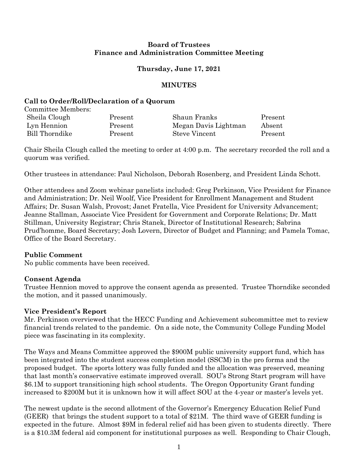### **Board of Trustees Finance and Administration Committee Meeting**

# **Thursday, June 17, 2021**

### **MINUTES**

### **Call to Order/Roll/Declaration of a Quorum**

| Committee Members: |         |                      |         |
|--------------------|---------|----------------------|---------|
| Sheila Clough      | Present | Shaun Franks         | Present |
| Lyn Hennion        | Present | Megan Davis Lightman | Absent  |
| Bill Thorndike     | Present | <b>Steve Vincent</b> | Present |

Chair Sheila Clough called the meeting to order at 4:00 p.m. The secretary recorded the roll and a quorum was verified.

Other trustees in attendance: Paul Nicholson, Deborah Rosenberg, and President Linda Schott.

Other attendees and Zoom webinar panelists included: Greg Perkinson, Vice President for Finance and Administration; Dr. Neil Woolf, Vice President for Enrollment Management and Student Affairs; Dr. Susan Walsh, Provost; Janet Fratella, Vice President for University Advancement; Jeanne Stallman, Associate Vice President for Government and Corporate Relations; Dr. Matt Stillman, University Registrar; Chris Stanek, Director of Institutional Research; Sabrina Prud'homme, Board Secretary; Josh Lovern, Director of Budget and Planning; and Pamela Tomac, Office of the Board Secretary.

#### **Public Comment**

No public comments have been received.

# **Consent Agenda**

Trustee Hennion moved to approve the consent agenda as presented. Trustee Thorndike seconded the motion, and it passed unanimously.

#### **Vice President's Report**

Mr. Perkinson overviewed that the HECC Funding and Achievement subcommittee met to review financial trends related to the pandemic. On a side note, the Community College Funding Model piece was fascinating in its complexity.

The Ways and Means Committee approved the \$900M public university support fund, which has been integrated into the student success completion model (SSCM) in the pro forma and the proposed budget. The sports lottery was fully funded and the allocation was preserved, meaning that last month's conservative estimate improved overall. SOU's Strong Start program will have \$6.1M to support transitioning high school students. The Oregon Opportunity Grant funding increased to \$200M but it is unknown how it will affect SOU at the 4-year or master's levels yet.

The newest update is the second allotment of the Governor's Emergency Education Relief Fund (GEER) that brings the student support to a total of \$21M. The third wave of GEER funding is expected in the future. Almost \$9M in federal relief aid has been given to students directly. There is a \$10.3M federal aid component for institutional purposes as well. Responding to Chair Clough,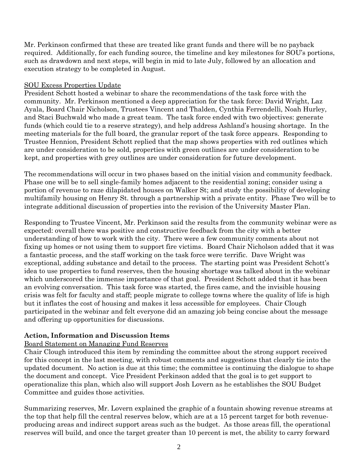Mr. Perkinson confirmed that these are treated like grant funds and there will be no payback required. Additionally, for each funding source, the timeline and key milestones for SOU's portions, such as drawdown and next steps, will begin in mid to late July, followed by an allocation and execution strategy to be completed in August.

### SOU Excess Properties Update

President Schott hosted a webinar to share the recommendations of the task force with the community. Mr. Perkinson mentioned a deep appreciation for the task force: David Wright, Laz Ayala, Board Chair Nicholson, Trustees Vincent and Thalden, Cynthia Ferrendelli, Noah Hurley, and Staci Buchwald who made a great team. The task force ended with two objectives: generate funds (which could tie to a reserve strategy), and help address Ashland's housing shortage. In the meeting materials for the full board, the granular report of the task force appears. Responding to Trustee Hennion, President Schott replied that the map shows properties with red outlines which are under consideration to be sold, properties with green outlines are under consideration to be kept, and properties with grey outlines are under consideration for future development.

The recommendations will occur in two phases based on the initial vision and community feedback. Phase one will be to sell single-family homes adjacent to the residential zoning; consider using a portion of revenue to raze dilapidated houses on Walker St; and study the possibility of developing multifamily housing on Henry St. through a partnership with a private entity. Phase Two will be to integrate additional discussion of properties into the revision of the University Master Plan.

Responding to Trustee Vincent, Mr. Perkinson said the results from the community webinar were as expected: overall there was positive and constructive feedback from the city with a better understanding of how to work with the city. There were a few community comments about not fixing up homes or not using them to support fire victims. Board Chair Nicholson added that it was a fantastic process, and the staff working on the task force were terrific. Dave Wright was exceptional, adding substance and detail to the process. The starting point was President Schott's idea to use properties to fund reserves, then the housing shortage was talked about in the webinar which underscored the immense importance of that goal. President Schott added that it has been an evolving conversation. This task force was started, the fires came, and the invisible housing crisis was felt for faculty and staff; people migrate to college towns where the quality of life is high but it inflates the cost of housing and makes it less accessible for employees. Chair Clough participated in the webinar and felt everyone did an amazing job being concise about the message and offering up opportunities for discussions.

# **Action, Information and Discussion Items**

# Board Statement on Managing Fund Reserves

Chair Clough introduced this item by reminding the committee about the strong support received for this concept in the last meeting, with robust comments and suggestions that clearly tie into the updated document. No action is due at this time; the committee is continuing the dialogue to shape the document and concept. Vice President Perkinson added that the goal is to get support to operationalize this plan, which also will support Josh Lovern as he establishes the SOU Budget Committee and guides those activities.

Summarizing reserves, Mr. Lovern explained the graphic of a fountain showing revenue streams at the top that help fill the central reserves below, which are at a 15 percent target for both revenueproducing areas and indirect support areas such as the budget. As those areas fill, the operational reserves will build, and once the target greater than 10 percent is met, the ability to carry forward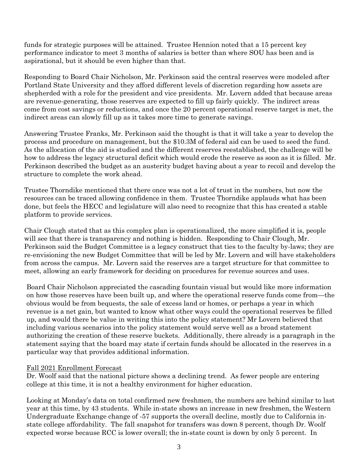funds for strategic purposes will be attained. Trustee Hennion noted that a 15 percent key performance indicator to meet 3 months of salaries is better than where SOU has been and is aspirational, but it should be even higher than that.

Responding to Board Chair Nicholson, Mr. Perkinson said the central reserves were modeled after Portland State University and they afford different levels of discretion regarding how assets are shepherded with a role for the president and vice presidents. Mr. Lovern added that because areas are revenue-generating, those reserves are expected to fill up fairly quickly. The indirect areas come from cost savings or reductions, and once the 20 percent operational reserve target is met, the indirect areas can slowly fill up as it takes more time to generate savings.

Answering Trustee Franks, Mr. Perkinson said the thought is that it will take a year to develop the process and procedure on management, but the \$10.3M of federal aid can be used to seed the fund. As the allocation of the aid is studied and the different reserves reestablished, the challenge will be how to address the legacy structural deficit which would erode the reserve as soon as it is filled. Mr. Perkinson described the budget as an austerity budget having about a year to recoil and develop the structure to complete the work ahead.

Trustee Thorndike mentioned that there once was not a lot of trust in the numbers, but now the resources can be traced allowing confidence in them. Trustee Thorndike applauds what has been done, but feels the HECC and legislature will also need to recognize that this has created a stable platform to provide services.

Chair Clough stated that as this complex plan is operationalized, the more simplified it is, people will see that there is transparency and nothing is hidden. Responding to Chair Clough, Mr. Perkinson said the Budget Committee is a legacy construct that ties to the faculty by-laws; they are re-envisioning the new Budget Committee that will be led by Mr. Lovern and will have stakeholders from across the campus. Mr. Lovern said the reserves are a target structure for that committee to meet, allowing an early framework for deciding on procedures for revenue sources and uses.

Board Chair Nicholson appreciated the cascading fountain visual but would like more information on how those reserves have been built up, and where the operational reserve funds come from—the obvious would be from bequests, the sale of excess land or homes, or perhaps a year in which revenue is a net gain, but wanted to know what other ways could the operational reserves be filled up, and would there be value in writing this into the policy statement? Mr Lovern believed that including various scenarios into the policy statement would serve well as a broad statement authorizing the creation of these reserve buckets. Additionally, there already is a paragraph in the statement saying that the board may state if certain funds should be allocated in the reserves in a particular way that provides additional information.

#### Fall 2021 Enrollment Forecast

Dr. Woolf said that the national picture shows a declining trend. As fewer people are entering college at this time, it is not a healthy environment for higher education.

Looking at Monday's data on total confirmed new freshmen, the numbers are behind similar to last year at this time, by 43 students. While in-state shows an increase in new freshmen, the Western Undergraduate Exchange change of -57 supports the overall decline, mostly due to California instate college affordability. The fall snapshot for transfers was down 8 percent, though Dr. Woolf expected worse because RCC is lower overall; the in-state count is down by only 5 percent. In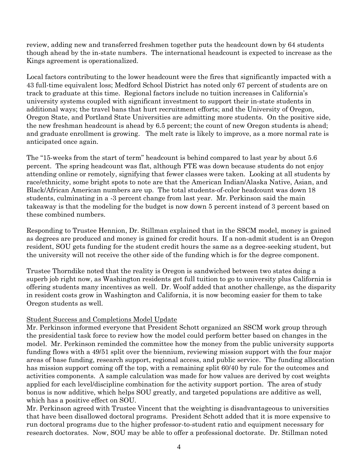review, adding new and transferred freshmen together puts the headcount down by 64 students though ahead by the in-state numbers. The international headcount is expected to increase as the Kings agreement is operationalized.

Local factors contributing to the lower headcount were the fires that significantly impacted with a 43 full-time equivalent loss; Medford School District has noted only 67 percent of students are on track to graduate at this time. Regional factors include no tuition increases in California's university systems coupled with significant investment to support their in-state students in additional ways; the travel bans that hurt recruitment efforts; and the University of Oregon, Oregon State, and Portland State Universities are admitting more students. On the positive side, the new freshman headcount is ahead by 6.5 percent; the count of new Oregon students is ahead; and graduate enrollment is growing. The melt rate is likely to improve, as a more normal rate is anticipated once again.

The "15-weeks from the start of term" headcount is behind compared to last year by about 5.6 percent. The spring headcount was flat, although FTE was down because students do not enjoy attending online or remotely, signifying that fewer classes were taken. Looking at all students by race/ethnicity, some bright spots to note are that the American Indian/Alaska Native, Asian, and Black/African American numbers are up. The total students-of-color headcount was down 18 students, culminating in a -3 percent change from last year. Mr. Perkinson said the main takeaway is that the modeling for the budget is now down 5 percent instead of 3 percent based on these combined numbers.

Responding to Trustee Hennion, Dr. Stillman explained that in the SSCM model, money is gained as degrees are produced and money is gained for credit hours. If a non-admit student is an Oregon resident, SOU gets funding for the student credit hours the same as a degree-seeking student, but the university will not receive the other side of the funding which is for the degree component.

Trustee Thorndike noted that the reality is Oregon is sandwiched between two states doing a superb job right now, as Washington residents get full tuition to go to university plus California is offering students many incentives as well. Dr. Woolf added that another challenge, as the disparity in resident costs grow in Washington and California, it is now becoming easier for them to take Oregon students as well.

# Student Success and Completions Model Update

Mr. Perkinson informed everyone that President Schott organized an SSCM work group through the presidential task force to review how the model could perform better based on changes in the model. Mr. Perkinson reminded the committee how the money from the public university supports funding flows with a 49/51 split over the biennium, reviewing mission support with the four major areas of base funding, research support, regional access, and public service. The funding allocation has mission support coming off the top, with a remaining split 60/40 by rule for the outcomes and activities components. A sample calculation was made for how values are derived by cost weights applied for each level/discipline combination for the activity support portion. The area of study bonus is now additive, which helps SOU greatly, and targeted populations are additive as well, which has a positive effect on SOU.

Mr. Perkinson agreed with Trustee Vincent that the weighting is disadvantageous to universities that have been disallowed doctoral programs. President Schott added that it is more expensive to run doctoral programs due to the higher professor-to-student ratio and equipment necessary for research doctorates. Now, SOU may be able to offer a professional doctorate. Dr. Stillman noted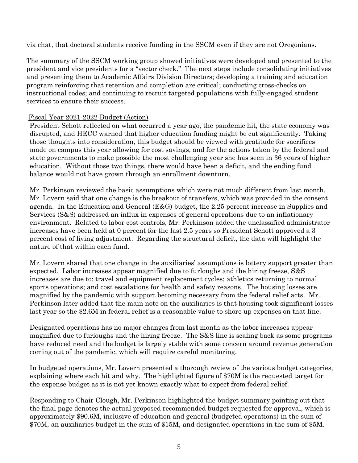via chat, that doctoral students receive funding in the SSCM even if they are not Oregonians.

The summary of the SSCM working group showed initiatives were developed and presented to the president and vice presidents for a "vector check." The next steps include consolidating initiatives and presenting them to Academic Affairs Division Directors; developing a training and education program reinforcing that retention and completion are critical; conducting cross-checks on instructional codes; and continuing to recruit targeted populations with fully-engaged student services to ensure their success.

### Fiscal Year 2021-2022 Budget (Action)

President Schott reflected on what occurred a year ago, the pandemic hit, the state economy was disrupted, and HECC warned that higher education funding might be cut significantly. Taking those thoughts into consideration, this budget should be viewed with gratitude for sacrifices made on campus this year allowing for cost savings, and for the actions taken by the federal and state governments to make possible the most challenging year she has seen in 36 years of higher education. Without those two things, there would have been a deficit, and the ending fund balance would not have grown through an enrollment downturn.

Mr. Perkinson reviewed the basic assumptions which were not much different from last month. Mr. Lovern said that one change is the breakout of transfers, which was provided in the consent agenda. In the Education and General (E&G) budget, the 2.25 percent increase in Supplies and Services (S&S) addressed an influx in expenses of general operations due to an inflationary environment. Related to labor cost controls, Mr. Perkinson added the unclassified administrator increases have been held at 0 percent for the last 2.5 years so President Schott approved a 3 percent cost of living adjustment. Regarding the structural deficit, the data will highlight the nature of that within each fund.

Mr. Lovern shared that one change in the auxiliaries' assumptions is lottery support greater than expected. Labor increases appear magnified due to furloughs and the hiring freeze, S&S increases are due to: travel and equipment replacement cycles; athletics returning to normal sports operations; and cost escalations for health and safety reasons. The housing losses are magnified by the pandemic with support becoming necessary from the federal relief acts. Mr. Perkinson later added that the main note on the auxiliaries is that housing took significant losses last year so the \$2.6M in federal relief is a reasonable value to shore up expenses on that line.

Designated operations has no major changes from last month as the labor increases appear magnified due to furloughs and the hiring freeze. The S&S line is scaling back as some programs have reduced need and the budget is largely stable with some concern around revenue generation coming out of the pandemic, which will require careful monitoring.

In budgeted operations, Mr. Lovern presented a thorough review of the various budget categories, explaining where each hit and why. The highlighted figure of \$70M is the requested target for the expense budget as it is not yet known exactly what to expect from federal relief.

Responding to Chair Clough, Mr. Perkinson highlighted the budget summary pointing out that the final page denotes the actual proposed recommended budget requested for approval, which is approximately \$90.6M, inclusive of education and general (budgeted operations) in the sum of \$70M, an auxiliaries budget in the sum of \$15M, and designated operations in the sum of \$5M.